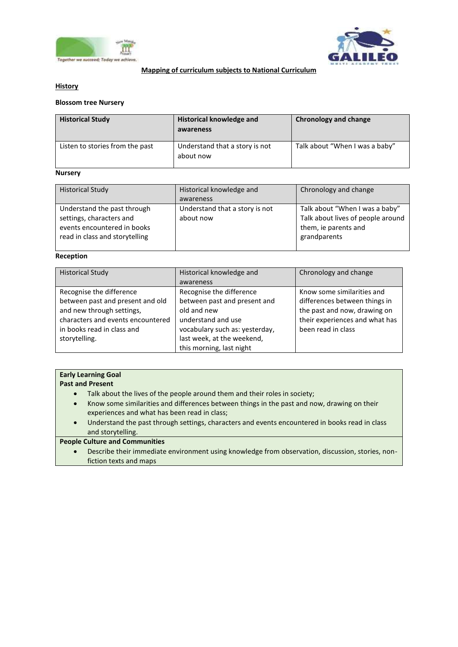



## **Mapping of curriculum subjects to National Curriculum**

## **History**

# **Blossom tree Nursery**

| <b>Historical Study</b>         | <b>Historical knowledge and</b><br>awareness | Chronology and change          |
|---------------------------------|----------------------------------------------|--------------------------------|
| Listen to stories from the past | Understand that a story is not<br>about now  | Talk about "When I was a baby" |

## **Nursery**

| <b>Historical Study</b>                                 | Historical knowledge and                    | Chronology and change                                               |
|---------------------------------------------------------|---------------------------------------------|---------------------------------------------------------------------|
|                                                         | awareness                                   |                                                                     |
| Understand the past through<br>settings, characters and | Understand that a story is not<br>about now | Talk about "When I was a baby"<br>Talk about lives of people around |
| read in class and storytelling                          |                                             | grandparents                                                        |
| events encountered in books                             |                                             | them, ie parents and                                                |

#### **Reception**

| <b>Historical Study</b>           | Historical knowledge and       | Chronology and change          |
|-----------------------------------|--------------------------------|--------------------------------|
|                                   | awareness                      |                                |
| Recognise the difference          | Recognise the difference       | Know some similarities and     |
| between past and present and old  | between past and present and   | differences between things in  |
| and new through settings,         | old and new                    | the past and now, drawing on   |
| characters and events encountered | understand and use             | their experiences and what has |
| in books read in class and        | vocabulary such as: yesterday, | been read in class             |
| storytelling.                     | last week, at the weekend,     |                                |
|                                   | this morning, last night       |                                |

# **Early Learning Goal**

### **Past and Present**

- Talk about the lives of the people around them and their roles in society;
- Know some similarities and differences between things in the past and now, drawing on their experiences and what has been read in class;
- Understand the past through settings, characters and events encountered in books read in class and storytelling.

# **People Culture and Communities**

 Describe their immediate environment using knowledge from observation, discussion, stories, nonfiction texts and maps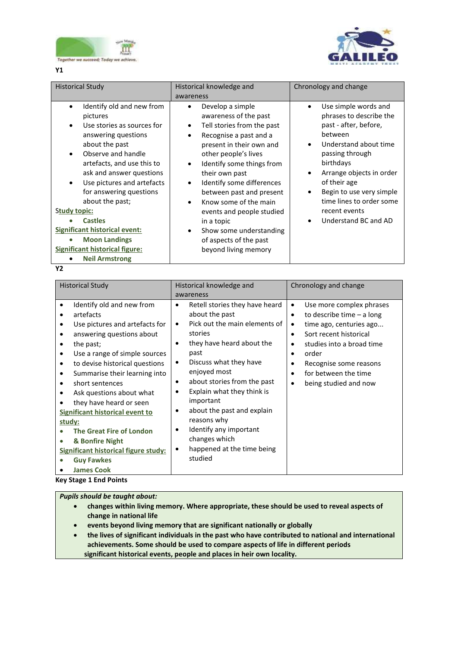



**Y1**

| <b>Historical Study</b>                                                                                                                                                                                                                                                                                                                                                                                                                                                             | Historical knowledge and<br>awareness                                                                                                                                                                                                                                                                                                                                                                                                                 | Chronology and change                                                                                                                                                                                                                                                                                                                                      |
|-------------------------------------------------------------------------------------------------------------------------------------------------------------------------------------------------------------------------------------------------------------------------------------------------------------------------------------------------------------------------------------------------------------------------------------------------------------------------------------|-------------------------------------------------------------------------------------------------------------------------------------------------------------------------------------------------------------------------------------------------------------------------------------------------------------------------------------------------------------------------------------------------------------------------------------------------------|------------------------------------------------------------------------------------------------------------------------------------------------------------------------------------------------------------------------------------------------------------------------------------------------------------------------------------------------------------|
| Identify old and new from<br>pictures<br>Use stories as sources for<br>$\bullet$<br>answering questions<br>about the past<br>Observe and handle<br>$\bullet$<br>artefacts, and use this to<br>ask and answer questions<br>Use pictures and artefacts<br>$\bullet$<br>for answering questions<br>about the past;<br>Study topic:<br><b>Castles</b><br><b>Significant historical event:</b><br><b>Moon Landings</b><br><b>Significant historical figure:</b><br><b>Neil Armstrong</b> | Develop a simple<br>$\bullet$<br>awareness of the past<br>Tell stories from the past<br>Recognise a past and a<br>present in their own and<br>other people's lives<br>Identify some things from<br>$\bullet$<br>their own past<br>Identify some differences<br>between past and present<br>Know some of the main<br>events and people studied<br>in a topic<br>Show some understanding<br>$\bullet$<br>of aspects of the past<br>beyond living memory | Use simple words and<br>$\bullet$<br>phrases to describe the<br>past - after, before,<br>between<br>Understand about time<br>$\bullet$<br>passing through<br>birthdays<br>Arrange objects in order<br>$\bullet$<br>of their age<br>Begin to use very simple<br>$\bullet$<br>time lines to order some<br>recent events<br>Understand BC and AD<br>$\bullet$ |

**Y2**

| <b>Historical Study</b>                                                                                                                                                                                                                                                                                                                                                                                                                                                                                               | Historical knowledge and                                                                                                                                                                                                                                                                                                                                                                                                                                            | Chronology and change                                                                                                                                                                                                                        |
|-----------------------------------------------------------------------------------------------------------------------------------------------------------------------------------------------------------------------------------------------------------------------------------------------------------------------------------------------------------------------------------------------------------------------------------------------------------------------------------------------------------------------|---------------------------------------------------------------------------------------------------------------------------------------------------------------------------------------------------------------------------------------------------------------------------------------------------------------------------------------------------------------------------------------------------------------------------------------------------------------------|----------------------------------------------------------------------------------------------------------------------------------------------------------------------------------------------------------------------------------------------|
|                                                                                                                                                                                                                                                                                                                                                                                                                                                                                                                       | awareness                                                                                                                                                                                                                                                                                                                                                                                                                                                           |                                                                                                                                                                                                                                              |
| Identify old and new from<br>٠<br>artefacts<br>٠<br>Use pictures and artefacts for<br>answering questions about<br>the past;<br>Use a range of simple sources<br>to devise historical questions<br>٠<br>Summarise their learning into<br>٠<br>short sentences<br>٠<br>Ask questions about what<br>they have heard or seen<br><b>Significant historical event to</b><br>study:<br><b>The Great Fire of London</b><br>& Bonfire Night<br>Significant historical figure study:<br><b>Guy Fawkes</b><br><b>James Cook</b> | Retell stories they have heard<br>$\bullet$<br>about the past<br>Pick out the main elements of<br>$\bullet$<br>stories<br>they have heard about the<br>٠<br>past<br>Discuss what they have<br>٠<br>enjoyed most<br>about stories from the past<br>٠<br>Explain what they think is<br>٠<br>important<br>about the past and explain<br>$\bullet$<br>reasons why<br>Identify any important<br>$\bullet$<br>changes which<br>happened at the time being<br>٠<br>studied | Use more complex phrases<br>٠<br>to describe time $-$ a long<br>٠<br>time ago, centuries ago<br>Sort recent historical<br>studies into a broad time<br>order<br>Recognise some reasons<br>for between the time<br>being studied and now<br>٠ |

**Key Stage 1 End Points**

*Pupils should be taught about:* 

- **changes within living memory. Where appropriate, these should be used to reveal aspects of change in national life**
- **events beyond living memory that are significant nationally or globally**
- **the lives of significant individuals in the past who have contributed to national and international achievements. Some should be used to compare aspects of life in different periods significant historical events, people and places in heir own locality.**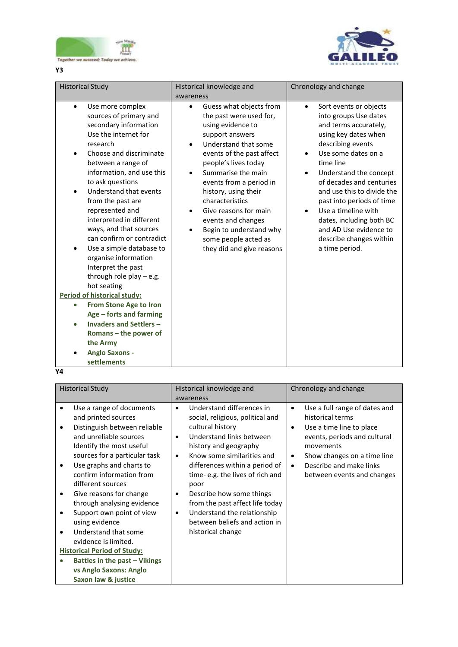



**Y3**

| <b>Historical Study</b>                                                                                                                                                                                                                                                                                                                                                                                                                                                                                                                                                                                                                                                                                                                      | Historical knowledge and<br>awareness                                                                                                                                                                                                                                                                                                                                                                                        | Chronology and change                                                                                                                                                                                                                                                                                                                                                                                             |
|----------------------------------------------------------------------------------------------------------------------------------------------------------------------------------------------------------------------------------------------------------------------------------------------------------------------------------------------------------------------------------------------------------------------------------------------------------------------------------------------------------------------------------------------------------------------------------------------------------------------------------------------------------------------------------------------------------------------------------------------|------------------------------------------------------------------------------------------------------------------------------------------------------------------------------------------------------------------------------------------------------------------------------------------------------------------------------------------------------------------------------------------------------------------------------|-------------------------------------------------------------------------------------------------------------------------------------------------------------------------------------------------------------------------------------------------------------------------------------------------------------------------------------------------------------------------------------------------------------------|
| Use more complex<br>$\bullet$<br>sources of primary and<br>secondary information<br>Use the internet for<br>research<br>Choose and discriminate<br>$\bullet$<br>between a range of<br>information, and use this<br>to ask questions<br>Understand that events<br>from the past are<br>represented and<br>interpreted in different<br>ways, and that sources<br>can confirm or contradict<br>Use a simple database to<br>organise information<br>Interpret the past<br>through role play $-$ e.g.<br>hot seating<br>Period of historical study:<br>From Stone Age to Iron<br>$\bullet$<br>Age - forts and farming<br><b>Invaders and Settlers -</b><br>$\bullet$<br>Romans – the power of<br>the Army<br><b>Anglo Saxons -</b><br>settlements | Guess what objects from<br>$\bullet$<br>the past were used for,<br>using evidence to<br>support answers<br>Understand that some<br>$\bullet$<br>events of the past affect<br>people's lives today<br>Summarise the main<br>events from a period in<br>history, using their<br>characteristics<br>Give reasons for main<br>events and changes<br>Begin to understand why<br>some people acted as<br>they did and give reasons | Sort events or objects<br>$\bullet$<br>into groups Use dates<br>and terms accurately,<br>using key dates when<br>describing events<br>Use some dates on a<br>time line<br>Understand the concept<br>of decades and centuries<br>and use this to divide the<br>past into periods of time<br>Use a timeline with<br>dates, including both BC<br>and AD Use evidence to<br>describe changes within<br>a time period. |

 $\frac{1}{\gamma_4}$ 

| <b>Historical Study</b>                                                                                                                                                                                                                                                                                                                                                                                                                                                                                                                  | Historical knowledge and<br>awareness                                                                                                                                                                                                                                                                                                                                                                                                                  | Chronology and change                                                                                                                                                                                                                                  |
|------------------------------------------------------------------------------------------------------------------------------------------------------------------------------------------------------------------------------------------------------------------------------------------------------------------------------------------------------------------------------------------------------------------------------------------------------------------------------------------------------------------------------------------|--------------------------------------------------------------------------------------------------------------------------------------------------------------------------------------------------------------------------------------------------------------------------------------------------------------------------------------------------------------------------------------------------------------------------------------------------------|--------------------------------------------------------------------------------------------------------------------------------------------------------------------------------------------------------------------------------------------------------|
| Use a range of documents<br>and printed sources<br>Distinguish between reliable<br>and unreliable sources<br>Identify the most useful<br>sources for a particular task<br>Use graphs and charts to<br>confirm information from<br>different sources<br>Give reasons for change<br>٠<br>through analysing evidence<br>Support own point of view<br>using evidence<br>Understand that some<br>evidence is limited.<br><b>Historical Period of Study:</b><br>Battles in the past - Vikings<br>vs Anglo Saxons: Anglo<br>Saxon law & justice | Understand differences in<br>٠<br>social, religious, political and<br>cultural history<br>Understand links between<br>$\bullet$<br>history and geography<br>Know some similarities and<br>$\bullet$<br>differences within a period of<br>time-e.g. the lives of rich and<br>poor<br>Describe how some things<br>٠<br>from the past affect life today<br>Understand the relationship<br>$\bullet$<br>between beliefs and action in<br>historical change | Use a full range of dates and<br>$\bullet$<br>historical terms<br>Use a time line to place<br>٠<br>events, periods and cultural<br>movements<br>Show changes on a time line<br>٠<br>Describe and make links<br>$\bullet$<br>between events and changes |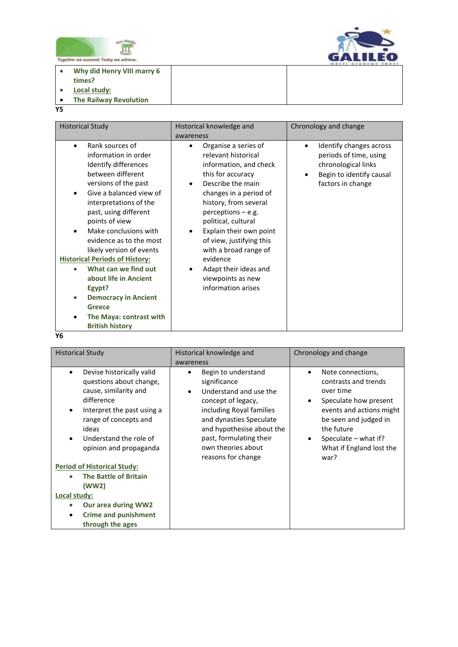



 $\overline{a}$ **Why did Henry VIII marry 6** 

- **times?**
- **Local study:**
- **The Railway Revolution**
- **Y5**

| <b>Historical Study</b>                                                                                                                                                                                                                                                                                                                                                                                                                                                                                     | Historical knowledge and                                                                                                                                                                                                                                                                                                                                                                       | Chronology and change                                                                                                                  |
|-------------------------------------------------------------------------------------------------------------------------------------------------------------------------------------------------------------------------------------------------------------------------------------------------------------------------------------------------------------------------------------------------------------------------------------------------------------------------------------------------------------|------------------------------------------------------------------------------------------------------------------------------------------------------------------------------------------------------------------------------------------------------------------------------------------------------------------------------------------------------------------------------------------------|----------------------------------------------------------------------------------------------------------------------------------------|
|                                                                                                                                                                                                                                                                                                                                                                                                                                                                                                             | awareness                                                                                                                                                                                                                                                                                                                                                                                      |                                                                                                                                        |
| Rank sources of<br>information in order<br>Identify differences<br>between different<br>versions of the past<br>Give a balanced view of<br>interpretations of the<br>past, using different<br>points of view<br>Make conclusions with<br>evidence as to the most<br>likely version of events<br><b>Historical Periods of History:</b><br>What can we find out<br>about life in Ancient<br>Egypt?<br><b>Democracy in Ancient</b><br>$\bullet$<br>Greece<br>The Maya: contrast with<br><b>British history</b> | Organise a series of<br>$\bullet$<br>relevant historical<br>information, and check<br>this for accuracy<br>Describe the main<br>changes in a period of<br>history, from several<br>$perceptions - e.g.$<br>political, cultural<br>Explain their own point<br>of view, justifying this<br>with a broad range of<br>evidence<br>Adapt their ideas and<br>viewpoints as new<br>information arises | Identify changes across<br>$\bullet$<br>periods of time, using<br>chronological links<br>Begin to identify causal<br>factors in change |
| иc.                                                                                                                                                                                                                                                                                                                                                                                                                                                                                                         |                                                                                                                                                                                                                                                                                                                                                                                                |                                                                                                                                        |

**Y6**

|                                                                                                                                                                                                                                                                                                                                                                                                                        | awareness                                                                                                                                                                                                                                                   | Chronology and change                                                                                                                                                                                                    |
|------------------------------------------------------------------------------------------------------------------------------------------------------------------------------------------------------------------------------------------------------------------------------------------------------------------------------------------------------------------------------------------------------------------------|-------------------------------------------------------------------------------------------------------------------------------------------------------------------------------------------------------------------------------------------------------------|--------------------------------------------------------------------------------------------------------------------------------------------------------------------------------------------------------------------------|
| Devise historically valid<br>٠<br>questions about change,<br>cause, similarity and<br>difference<br>Interpret the past using a<br>٠<br>range of concepts and<br>ideas<br>Understand the role of<br>$\bullet$<br>opinion and propaganda<br><b>Period of Historical Study:</b><br><b>The Battle of Britain</b><br>(WW2)<br>Local study:<br><b>Our area during WW2</b><br><b>Crime and punishment</b><br>through the ages | Begin to understand<br>$\bullet$<br>significance<br>Understand and use the<br>concept of legacy,<br>including Royal families<br>and dynasties Speculate<br>and hypothesise about the<br>past, formulating their<br>own theories about<br>reasons for change | Note connections,<br>٠<br>contrasts and trends<br>over time<br>Speculate how present<br>٠<br>events and actions might<br>be seen and judged in<br>the future<br>Speculate - what if?<br>What if England lost the<br>war? |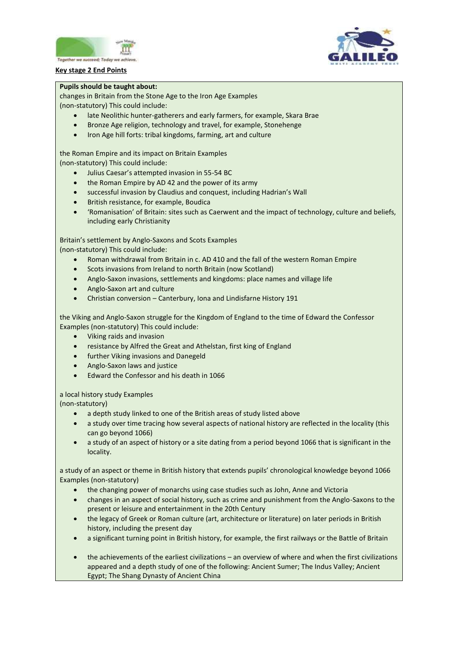





#### **Pupils should be taught about:**

changes in Britain from the Stone Age to the Iron Age Examples (non-statutory) This could include:

- late Neolithic hunter-gatherers and early farmers, for example, Skara Brae
- Bronze Age religion, technology and travel, for example, Stonehenge
- Iron Age hill forts: tribal kingdoms, farming, art and culture

the Roman Empire and its impact on Britain Examples

(non-statutory) This could include:

- Julius Caesar's attempted invasion in 55-54 BC
- the Roman Empire by AD 42 and the power of its army
- successful invasion by Claudius and conquest, including Hadrian's Wall
- British resistance, for example, Boudica
- 'Romanisation' of Britain: sites such as Caerwent and the impact of technology, culture and beliefs, including early Christianity

Britain's settlement by Anglo-Saxons and Scots Examples (non-statutory) This could include:

- Roman withdrawal from Britain in c. AD 410 and the fall of the western Roman Empire
- Scots invasions from Ireland to north Britain (now Scotland)
- Anglo-Saxon invasions, settlements and kingdoms: place names and village life
- Anglo-Saxon art and culture
- Christian conversion Canterbury, Iona and Lindisfarne History 191

the Viking and Anglo-Saxon struggle for the Kingdom of England to the time of Edward the Confessor Examples (non-statutory) This could include:

- Viking raids and invasion
- resistance by Alfred the Great and Athelstan, first king of England
- further Viking invasions and Danegeld
- Anglo-Saxon laws and justice
- Edward the Confessor and his death in 1066

a local history study Examples

(non-statutory)

- a depth study linked to one of the British areas of study listed above
- a study over time tracing how several aspects of national history are reflected in the locality (this can go beyond 1066)
- a study of an aspect of history or a site dating from a period beyond 1066 that is significant in the locality.

a study of an aspect or theme in British history that extends pupils' chronological knowledge beyond 1066 Examples (non-statutory)

- the changing power of monarchs using case studies such as John, Anne and Victoria
- changes in an aspect of social history, such as crime and punishment from the Anglo-Saxons to the present or leisure and entertainment in the 20th Century
- the legacy of Greek or Roman culture (art, architecture or literature) on later periods in British history, including the present day
- a significant turning point in British history, for example, the first railways or the Battle of Britain
- the achievements of the earliest civilizations an overview of where and when the first civilizations appeared and a depth study of one of the following: Ancient Sumer; The Indus Valley; Ancient Egypt; The Shang Dynasty of Ancient China